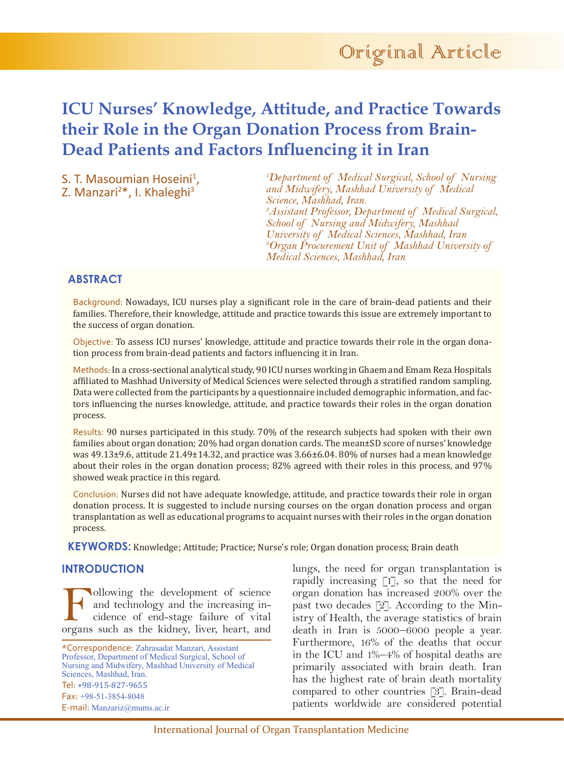

# **ICU Nurses' Knowledge, Attitude, and Practice Towards their Role in the Organ Donation Process from Brain-Dead Patients and Factors Influencing it in Iran**

S. T. Masoumian Hoseini<sup>1</sup>, S. T. Masoumian Hoseini<sup>1</sup>,<br>Z. Manzari<sup>2\*</sup>, I. Khaleghi<sup>3</sup>

*1 Department of Medical Surgical, School of Nursing and Midwifery, Mashhad University of Medical Science, Mashhad, Iran. 2 Assistant Professor, Department of Medical Surgical, School of Nursing and Midwifery, Mashhad University of Medical Sciences, Mashhad, Iran 3 Organ Procurement Unit of Mashhad University of Medical Sciences, Mashhad, Iran* 

# **ABSTRACT**

Background: Nowadays, ICU nurses play a significant role in the care of brain-dead patients and their families. Therefore, their knowledge, attitude and practice towards this issue are extremely important to the success of organ donation.

Objective: To assess ICU nurses' knowledge, attitude and practice towards their role in the organ donation process from brain-dead patients and factors influencing it in Iran.

Methods: In a cross-sectional analytical study, 90 ICU nurses working in Ghaem and Emam Reza Hospitals affiliated to Mashhad University of Medical Sciences were selected through a stratified random sampling. Data were collected from the participants by a questionnaire included demographic information, and factors influencing the nurses knowledge, attitude, and practice towards their roles in the organ donation process.

Results: 90 nurses participated in this study. 70% of the research subjects had spoken with their own families about organ donation; 20% had organ donation cards. The mean±SD score of nurses' knowledge was 49.13±9.6, attitude 21.49±14.32, and practice was 3.66±6.04. 80% of nurses had a mean knowledge about their roles in the organ donation process; 82% agreed with their roles in this process, and 97% showed weak practice in this regard.

Conclusion: Nurses did not have adequate knowledge, attitude, and practice towards their role in organ donation process. It is suggested to include nursing courses on the organ donation process and organ transplantation as well as educational programs to acquaint nurses with their roles in the organ donation process.

**KEYWORDS:** Knowledge; Attitude; Practice; Nurse's role; Organ donation process; Brain death

# **INTRODUCTION**

Following the development of science<br>and technology and the increasing in-<br>cidence of end-stage failure of vital<br>organs such as the kidney liver heart and and technology and the increasing incidence of end-stage failure of vital organs such as the kidney, liver, heart, and

\*Correspondence: Zahrasadat Manzari, Assistant Professor, Department of Medical Surgical, School of Nursing and Midwifery, Mashhad University of Medical Sciences, Mashhad, Iran. Tel: +98-915-827-9655 Fax: +98-51-3854-8048 E-mail: Manzariz@mums.ac.ir

lungs, the need for organ transplantation is rapidly increasing [1], so that the need for organ donation has increased 200% over the past two decades [2]. According to the Ministry of Health, the average statistics of brain death in Iran is 5000–6000 people a year. Furthermore, 16% of the deaths that occur in the ICU and 1%–4% of hospital deaths are primarily associated with brain death. Iran has the highest rate of brain death mortality compared to other countries [3]. Brain-dead patients worldwide are considered potential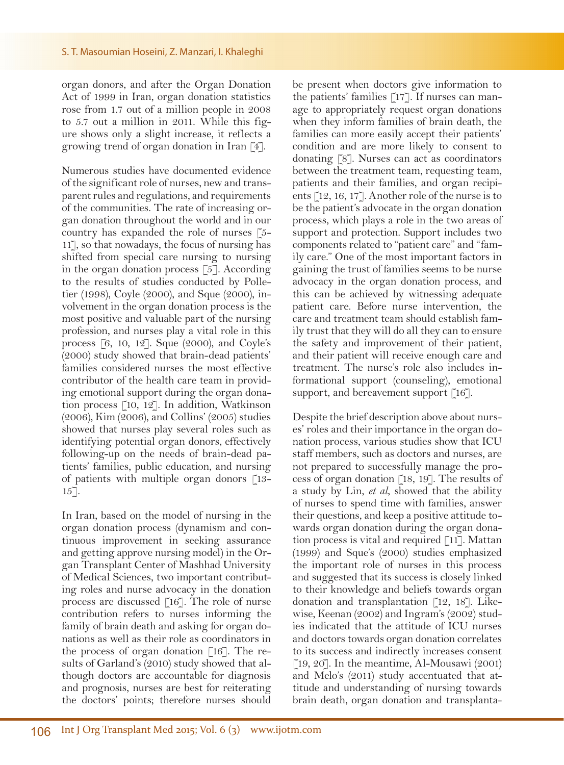organ donors, and after the Organ Donation Act of 1999 in Iran, organ donation statistics rose from 1.7 out of a million people in 2008 to 5.7 out a million in 2011. While this figure shows only a slight increase, it reflects a growing trend of organ donation in Iran [4].

Numerous studies have documented evidence of the significant role of nurses, new and transparent rules and regulations, and requirements of the communities. The rate of increasing organ donation throughout the world and in our country has expanded the role of nurses [5- 11], so that nowadays, the focus of nursing has shifted from special care nursing to nursing in the organ donation process [5]. According to the results of studies conducted by Polletier (1998), Coyle (2000), and Sque (2000), involvement in the organ donation process is the most positive and valuable part of the nursing profession, and nurses play a vital role in this process [6, 10, 12]. Sque (2000), and Coyle's (2000) study showed that brain-dead patients' families considered nurses the most effective contributor of the health care team in providing emotional support during the organ donation process [10, 12]. In addition, Watkinson (2006), Kim (2006), and Collins' (2005) studies showed that nurses play several roles such as identifying potential organ donors, effectively following-up on the needs of brain-dead patients' families, public education, and nursing of patients with multiple organ donors [13- 15].

In Iran, based on the model of nursing in the organ donation process (dynamism and continuous improvement in seeking assurance and getting approve nursing model) in the Organ Transplant Center of Mashhad University of Medical Sciences, two important contributing roles and nurse advocacy in the donation process are discussed [16]. The role of nurse contribution refers to nurses informing the family of brain death and asking for organ donations as well as their role as coordinators in the process of organ donation [16]. The results of Garland's (2010) study showed that although doctors are accountable for diagnosis and prognosis, nurses are best for reiterating the doctors' points; therefore nurses should

be present when doctors give information to the patients' families [17]. If nurses can manage to appropriately request organ donations when they inform families of brain death, the families can more easily accept their patients' condition and are more likely to consent to donating [8]. Nurses can act as coordinators between the treatment team, requesting team, patients and their families, and organ recipients [12, 16, 17]. Another role of the nurse is to be the patient's advocate in the organ donation process, which plays a role in the two areas of support and protection. Support includes two components related to "patient care" and "family care." One of the most important factors in gaining the trust of families seems to be nurse advocacy in the organ donation process, and this can be achieved by witnessing adequate patient care. Before nurse intervention, the care and treatment team should establish family trust that they will do all they can to ensure the safety and improvement of their patient, and their patient will receive enough care and treatment. The nurse's role also includes informational support (counseling), emotional support, and bereavement support [16].

Despite the brief description above about nurses' roles and their importance in the organ donation process, various studies show that ICU staff members, such as doctors and nurses, are not prepared to successfully manage the process of organ donation [18, 19]. The results of a study by Lin, *et al*, showed that the ability of nurses to spend time with families, answer their questions, and keep a positive attitude towards organ donation during the organ donation process is vital and required [11]. Mattan (1999) and Sque's (2000) studies emphasized the important role of nurses in this process and suggested that its success is closely linked to their knowledge and beliefs towards organ donation and transplantation [12, 18]. Likewise, Keenan (2002) and Ingram's (2002) studies indicated that the attitude of ICU nurses and doctors towards organ donation correlates to its success and indirectly increases consent [19, 20]. In the meantime, Al-Mousawi  $(2001)$ and Melo's (2011) study accentuated that attitude and understanding of nursing towards brain death, organ donation and transplanta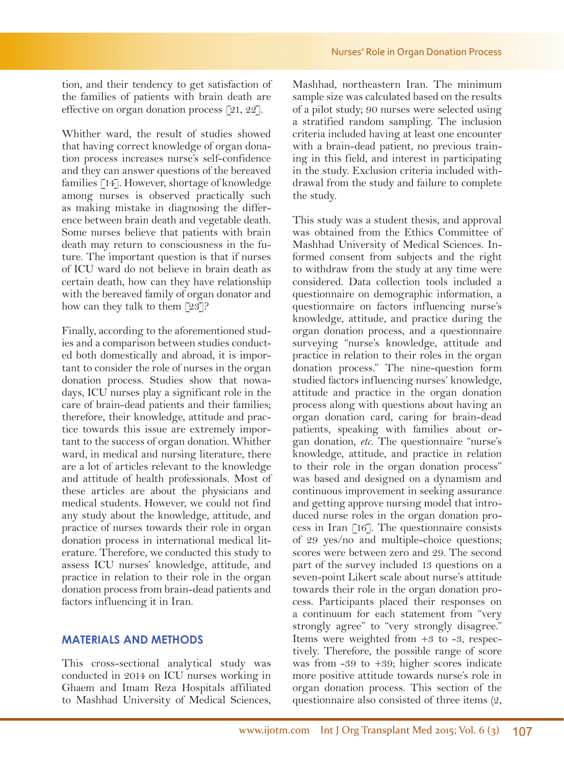tion, and their tendency to get satisfaction of the families of patients with brain death are effective on organ donation process [21, 22].

Whither ward, the result of studies showed that having correct knowledge of organ donation process increases nurse's self-confidence and they can answer questions of the bereaved families [14]. However, shortage of knowledge among nurses is observed practically such as making mistake in diagnosing the difference between brain death and vegetable death. Some nurses believe that patients with brain death may return to consciousness in the future. The important question is that if nurses of ICU ward do not believe in brain death as certain death, how can they have relationship with the bereaved family of organ donator and how can they talk to them [23]?

Finally, according to the aforementioned studies and a comparison between studies conducted both domestically and abroad, it is important to consider the role of nurses in the organ donation process. Studies show that nowadays, ICU nurses play a significant role in the care of brain-dead patients and their families; therefore, their knowledge, attitude and practice towards this issue are extremely important to the success of organ donation. Whither ward, in medical and nursing literature, there are a lot of articles relevant to the knowledge and attitude of health professionals. Most of these articles are about the physicians and medical students. However, we could not find any study about the knowledge, attitude, and practice of nurses towards their role in organ donation process in international medical literature. Therefore, we conducted this study to assess ICU nurses' knowledge, attitude, and practice in relation to their role in the organ donation process from brain-dead patients and factors influencing it in Iran.

#### **MATERIALS AND METHODS**

This cross-sectional analytical study was conducted in 2014 on ICU nurses working in Ghaem and Imam Reza Hospitals affiliated to Mashhad University of Medical Sciences,

Mashhad, northeastern Iran. The minimum sample size was calculated based on the results of a pilot study; 90 nurses were selected using a stratified random sampling. The inclusion criteria included having at least one encounter with a brain-dead patient, no previous training in this field, and interest in participating in the study. Exclusion criteria included withdrawal from the study and failure to complete the study.

This study was a student thesis, and approval was obtained from the Ethics Committee of Mashhad University of Medical Sciences. Informed consent from subjects and the right to withdraw from the study at any time were considered. Data collection tools included a questionnaire on demographic information, a questionnaire on factors influencing nurse's knowledge, attitude, and practice during the organ donation process, and a questionnaire surveying "nurse's knowledge, attitude and practice in relation to their roles in the organ donation process." The nine-question form studied factors influencing nurses' knowledge, attitude and practice in the organ donation process along with questions about having an organ donation card, caring for brain-dead patients, speaking with families about organ donation, *etc*. The questionnaire "nurse's knowledge, attitude, and practice in relation to their role in the organ donation process" was based and designed on a dynamism and continuous improvement in seeking assurance and getting approve nursing model that introduced nurse roles in the organ donation process in Iran [16]. The questionnaire consists of 29 yes/no and multiple-choice questions; scores were between zero and 29. The second part of the survey included 13 questions on a seven-point Likert scale about nurse's attitude towards their role in the organ donation process. Participants placed their responses on a continuum for each statement from "very strongly agree" to "very strongly disagree." Items were weighted from +3 to -3, respectively. Therefore, the possible range of score was from -39 to +39; higher scores indicate more positive attitude towards nurse's role in organ donation process. This section of the questionnaire also consisted of three items (2,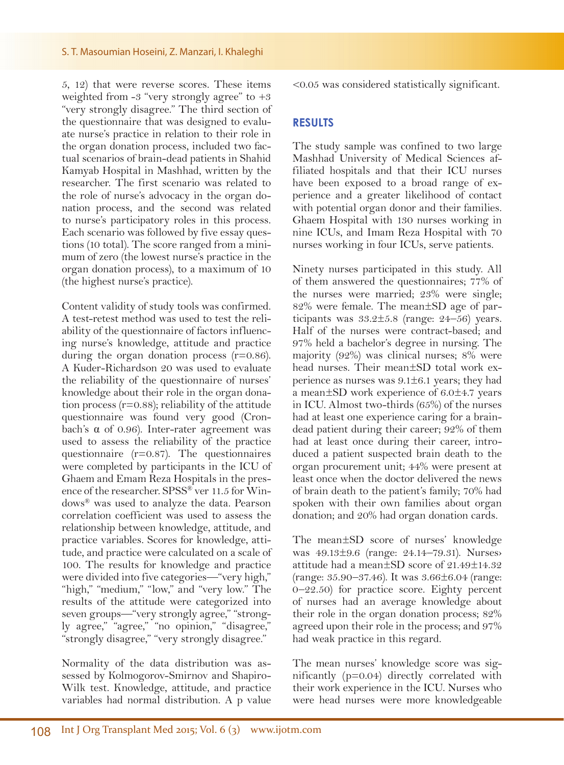5, 12) that were reverse scores. These items weighted from  $-3$  "very strongly agree" to  $+3$ "very strongly disagree." The third section of the questionnaire that was designed to evaluate nurse's practice in relation to their role in the organ donation process, included two factual scenarios of brain-dead patients in Shahid Kamyab Hospital in Mashhad, written by the researcher. The first scenario was related to the role of nurse's advocacy in the organ donation process, and the second was related to nurse's participatory roles in this process. Each scenario was followed by five essay questions (10 total). The score ranged from a minimum of zero (the lowest nurse's practice in the organ donation process), to a maximum of 10 (the highest nurse's practice).

Content validity of study tools was confirmed. A test-retest method was used to test the reliability of the questionnaire of factors influencing nurse's knowledge, attitude and practice during the organ donation process  $(r=0.86)$ . A Kuder-Richardson 20 was used to evaluate the reliability of the questionnaire of nurses' knowledge about their role in the organ donation process  $(r=0.88)$ ; reliability of the attitude questionnaire was found very good (Cronbach's α of 0.96). Inter-rater agreement was used to assess the reliability of the practice questionnaire (r=0.87). The questionnaires were completed by participants in the ICU of Ghaem and Emam Reza Hospitals in the presence of the researcher. SPSS® ver 11.5 for Windows® was used to analyze the data. Pearson correlation coefficient was used to assess the relationship between knowledge, attitude, and practice variables. Scores for knowledge, attitude, and practice were calculated on a scale of 100. The results for knowledge and practice were divided into five categories—"very high," "high," "medium," "low," and "very low." The results of the attitude were categorized into seven groups—"very strongly agree," "strongly agree," "agree," "no opinion," "disagree," "strongly disagree," "very strongly disagree."

Normality of the data distribution was assessed by Kolmogorov-Smirnov and Shapiro-Wilk test. Knowledge, attitude, and practice variables had normal distribution. A p value

<0.05 was considered statistically significant.

## **RESULTS**

The study sample was confined to two large Mashhad University of Medical Sciences affiliated hospitals and that their ICU nurses have been exposed to a broad range of experience and a greater likelihood of contact with potential organ donor and their families. Ghaem Hospital with 130 nurses working in nine ICUs, and Imam Reza Hospital with 70 nurses working in four ICUs, serve patients.

Ninety nurses participated in this study. All of them answered the questionnaires; 77% of the nurses were married; 23% were single; 82% were female. The mean±SD age of participants was  $33.2 \pm 5.8$  (range:  $24-56$ ) years. Half of the nurses were contract-based; and 97% held a bachelor's degree in nursing. The majority (92%) was clinical nurses; 8% were head nurses. Their mean±SD total work experience as nurses was  $9.1 \pm 6.1$  years; they had a mean±SD work experience of 6.0±4.7 years in ICU. Almost two-thirds (65%) of the nurses had at least one experience caring for a braindead patient during their career; 92% of them had at least once during their career, introduced a patient suspected brain death to the organ procurement unit; 44% were present at least once when the doctor delivered the news of brain death to the patient's family; 70% had spoken with their own families about organ donation; and 20% had organ donation cards.

The mean±SD score of nurses' knowledge was 49.13±9.6 (range: 24.14–79.31). Nurses› attitude had a mean±SD score of 21.49±14.32 (range: 35.90–37.46). It was 3.66±6.04 (range: 0–22.50) for practice score. Eighty percent of nurses had an average knowledge about their role in the organ donation process; 82% agreed upon their role in the process; and 97% had weak practice in this regard.

The mean nurses' knowledge score was significantly (p=0.04) directly correlated with their work experience in the ICU. Nurses who were head nurses were more knowledgeable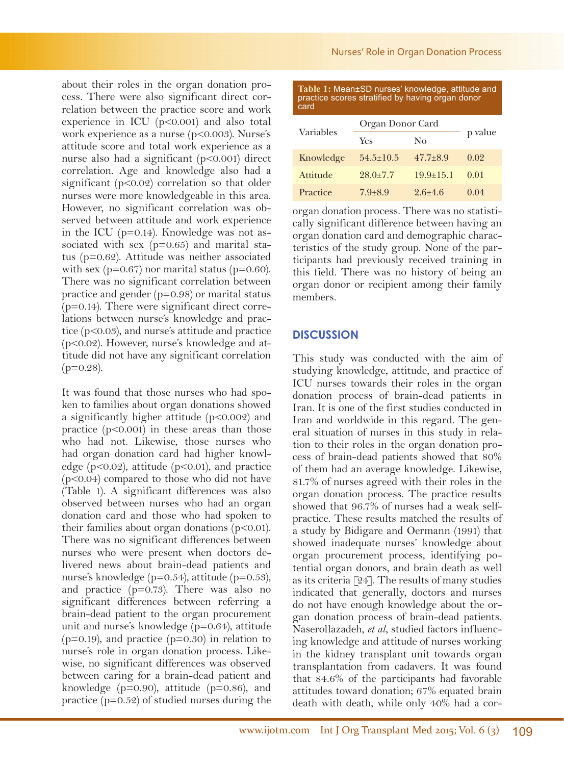about their roles in the organ donation process. There were also significant direct correlation between the practice score and work experience in ICU  $(p<0.001)$  and also total work experience as a nurse (p<0.003). Nurse's attitude score and total work experience as a nurse also had a significant (p<0.001) direct correlation. Age and knowledge also had a significant (p<0.02) correlation so that older nurses were more knowledgeable in this area. However, no significant correlation was observed between attitude and work experience in the ICU (p=0.14). Knowledge was not associated with sex (p=0.65) and marital status (p=0.62). Attitude was neither associated with sex ( $p=0.67$ ) nor marital status ( $p=0.60$ ). There was no significant correlation between practice and gender (p=0.98) or marital status  $(p=0.14)$ . There were significant direct correlations between nurse's knowledge and practice (p<0.03), and nurse's attitude and practice (p<0.02). However, nurse's knowledge and attitude did not have any significant correlation  $(p=0.28)$ .

It was found that those nurses who had spoken to families about organ donations showed a significantly higher attitude (p<0.002) and practice  $(p<0.001)$  in these areas than those who had not. Likewise, those nurses who had organ donation card had higher knowledge (p<0.02), attitude (p<0.01), and practice (p<0.04) compared to those who did not have (Table 1). A significant differences was also observed between nurses who had an organ donation card and those who had spoken to their families about organ donations  $(p<0.01)$ . There was no significant differences between nurses who were present when doctors delivered news about brain-dead patients and nurse's knowledge (p=0.54), attitude (p=0.53), and practice (p=0.73). There was also no significant differences between referring a brain-dead patient to the organ procurement unit and nurse's knowledge (p=0.64), attitude  $(p=0.19)$ , and practice  $(p=0.30)$  in relation to nurse's role in organ donation process. Likewise, no significant differences was observed between caring for a brain-dead patient and knowledge ( $p=0.90$ ), attitude ( $p=0.86$ ), and practice (p=0.52) of studied nurses during the

| Variables | Organ Donor Card |                 |         |
|-----------|------------------|-----------------|---------|
|           | Yes              | No              | p value |
| Knowledge | $54.5 \pm 10.5$  | $47.7 + 8.9$    | 0.02    |
| Attitude  | $28.0 \pm 7.7$   | $19.9 \pm 15.1$ | 0.01    |
| Practice  | $7.9 + 8.9$      | $2.6 + 4.6$     | 0.04    |

organ donation process. There was no statistically significant difference between having an organ donation card and demographic characteristics of the study group. None of the participants had previously received training in this field. There was no history of being an organ donor or recipient among their family members.

## **DISCUSSION**

This study was conducted with the aim of studying knowledge, attitude, and practice of ICU nurses towards their roles in the organ donation process of brain-dead patients in Iran. It is one of the first studies conducted in Iran and worldwide in this regard. The general situation of nurses in this study in relation to their roles in the organ donation process of brain-dead patients showed that 80% of them had an average knowledge. Likewise, 81.7% of nurses agreed with their roles in the organ donation process. The practice results showed that 96.7% of nurses had a weak selfpractice. These results matched the results of a study by Bidigare and Oermann (1991) that showed inadequate nurses' knowledge about organ procurement process, identifying potential organ donors, and brain death as well as its criteria [24]. The results of many studies indicated that generally, doctors and nurses do not have enough knowledge about the organ donation process of brain-dead patients. Naserollazadeh, *et al*, studied factors influencing knowledge and attitude of nurses working in the kidney transplant unit towards organ transplantation from cadavers. It was found that 84.6% of the participants had favorable attitudes toward donation; 67% equated brain death with death, while only 40% had a cor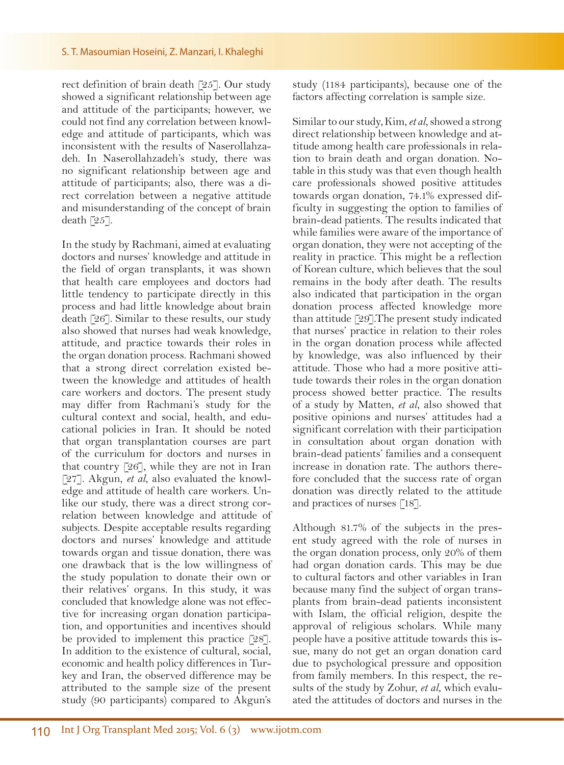rect definition of brain death [25]. Our study showed a significant relationship between age and attitude of the participants; however, we could not find any correlation between knowledge and attitude of participants, which was inconsistent with the results of Naserollahzadeh. In Naserollahzadeh's study, there was no significant relationship between age and attitude of participants; also, there was a direct correlation between a negative attitude and misunderstanding of the concept of brain death [25].

In the study by Rachmani, aimed at evaluating doctors and nurses' knowledge and attitude in the field of organ transplants, it was shown that health care employees and doctors had little tendency to participate directly in this process and had little knowledge about brain death [26]. Similar to these results, our study also showed that nurses had weak knowledge, attitude, and practice towards their roles in the organ donation process. Rachmani showed that a strong direct correlation existed between the knowledge and attitudes of health care workers and doctors. The present study may differ from Rachmani's study for the cultural context and social, health, and educational policies in Iran. It should be noted that organ transplantation courses are part of the curriculum for doctors and nurses in that country [26], while they are not in Iran [27]. Akgun, *et al*, also evaluated the knowledge and attitude of health care workers. Unlike our study, there was a direct strong correlation between knowledge and attitude of subjects. Despite acceptable results regarding doctors and nurses' knowledge and attitude towards organ and tissue donation, there was one drawback that is the low willingness of the study population to donate their own or their relatives' organs. In this study, it was concluded that knowledge alone was not effective for increasing organ donation participation, and opportunities and incentives should be provided to implement this practice [28]. In addition to the existence of cultural, social, economic and health policy differences in Turkey and Iran, the observed difference may be attributed to the sample size of the present study (90 participants) compared to Akgun's

study (1184 participants), because one of the factors affecting correlation is sample size.

Similar to our study, Kim, *et al*, showed a strong direct relationship between knowledge and attitude among health care professionals in relation to brain death and organ donation. Notable in this study was that even though health care professionals showed positive attitudes towards organ donation, 74.1% expressed difficulty in suggesting the option to families of brain-dead patients. The results indicated that while families were aware of the importance of organ donation, they were not accepting of the reality in practice. This might be a reflection of Korean culture, which believes that the soul remains in the body after death. The results also indicated that participation in the organ donation process affected knowledge more than attitude [29].The present study indicated that nurses' practice in relation to their roles in the organ donation process while affected by knowledge, was also influenced by their attitude. Those who had a more positive attitude towards their roles in the organ donation process showed better practice. The results of a study by Matten, *et al*, also showed that positive opinions and nurses' attitudes had a significant correlation with their participation in consultation about organ donation with brain-dead patients' families and a consequent increase in donation rate. The authors therefore concluded that the success rate of organ donation was directly related to the attitude and practices of nurses [18].

Although 81.7% of the subjects in the present study agreed with the role of nurses in the organ donation process, only 20% of them had organ donation cards. This may be due to cultural factors and other variables in Iran because many find the subject of organ transplants from brain-dead patients inconsistent with Islam, the official religion, despite the approval of religious scholars. While many people have a positive attitude towards this issue, many do not get an organ donation card due to psychological pressure and opposition from family members. In this respect, the results of the study by Zohur, *et al*, which evaluated the attitudes of doctors and nurses in the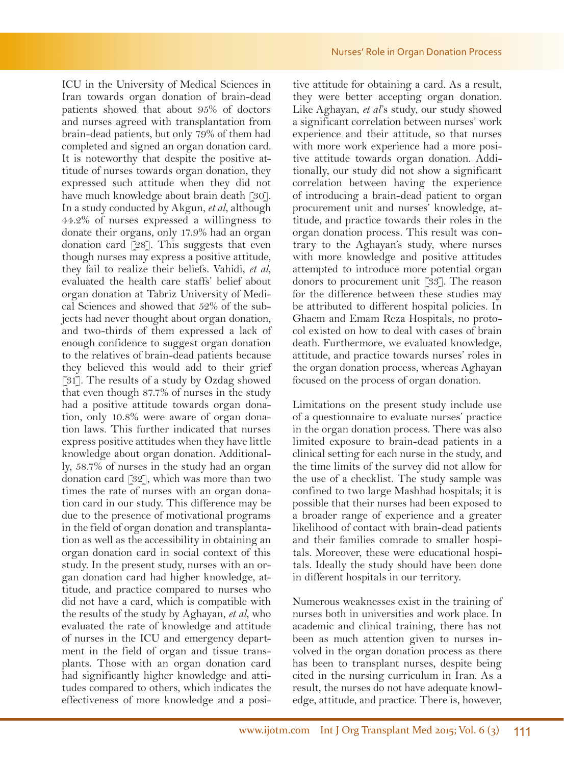ICU in the University of Medical Sciences in Iran towards organ donation of brain-dead patients showed that about 95% of doctors and nurses agreed with transplantation from brain-dead patients, but only 79% of them had completed and signed an organ donation card. It is noteworthy that despite the positive attitude of nurses towards organ donation, they expressed such attitude when they did not have much knowledge about brain death [30]. In a study conducted by Akgun, *et al*, although 44.2% of nurses expressed a willingness to donate their organs, only 17.9% had an organ donation card [28]. This suggests that even though nurses may express a positive attitude, they fail to realize their beliefs. Vahidi, *et al*, evaluated the health care staffs' belief about organ donation at Tabriz University of Medical Sciences and showed that 52% of the subjects had never thought about organ donation, and two-thirds of them expressed a lack of enough confidence to suggest organ donation to the relatives of brain-dead patients because they believed this would add to their grief [31]. The results of a study by Ozdag showed that even though 87.7% of nurses in the study had a positive attitude towards organ donation, only 10.8% were aware of organ donation laws. This further indicated that nurses express positive attitudes when they have little knowledge about organ donation. Additionally, 58.7% of nurses in the study had an organ donation card [32], which was more than two times the rate of nurses with an organ donation card in our study. This difference may be due to the presence of motivational programs in the field of organ donation and transplantation as well as the accessibility in obtaining an organ donation card in social context of this study. In the present study, nurses with an organ donation card had higher knowledge, attitude, and practice compared to nurses who did not have a card, which is compatible with the results of the study by Aghayan, *et al*, who evaluated the rate of knowledge and attitude of nurses in the ICU and emergency department in the field of organ and tissue transplants. Those with an organ donation card had significantly higher knowledge and attitudes compared to others, which indicates the effectiveness of more knowledge and a posi-

tive attitude for obtaining a card. As a result, they were better accepting organ donation. Like Aghayan, *et al*'s study, our study showed a significant correlation between nurses' work experience and their attitude, so that nurses with more work experience had a more positive attitude towards organ donation. Additionally, our study did not show a significant correlation between having the experience of introducing a brain-dead patient to organ procurement unit and nurses' knowledge, attitude, and practice towards their roles in the organ donation process. This result was contrary to the Aghayan's study, where nurses with more knowledge and positive attitudes attempted to introduce more potential organ donors to procurement unit [33]. The reason for the difference between these studies may be attributed to different hospital policies. In Ghaem and Emam Reza Hospitals, no protocol existed on how to deal with cases of brain death. Furthermore, we evaluated knowledge, attitude, and practice towards nurses' roles in the organ donation process, whereas Aghayan focused on the process of organ donation.

Limitations on the present study include use of a questionnaire to evaluate nurses' practice in the organ donation process. There was also limited exposure to brain-dead patients in a clinical setting for each nurse in the study, and the time limits of the survey did not allow for the use of a checklist. The study sample was confined to two large Mashhad hospitals; it is possible that their nurses had been exposed to a broader range of experience and a greater likelihood of contact with brain-dead patients and their families comrade to smaller hospitals. Moreover, these were educational hospitals. Ideally the study should have been done in different hospitals in our territory.

Numerous weaknesses exist in the training of nurses both in universities and work place. In academic and clinical training, there has not been as much attention given to nurses involved in the organ donation process as there has been to transplant nurses, despite being cited in the nursing curriculum in Iran. As a result, the nurses do not have adequate knowledge, attitude, and practice. There is, however,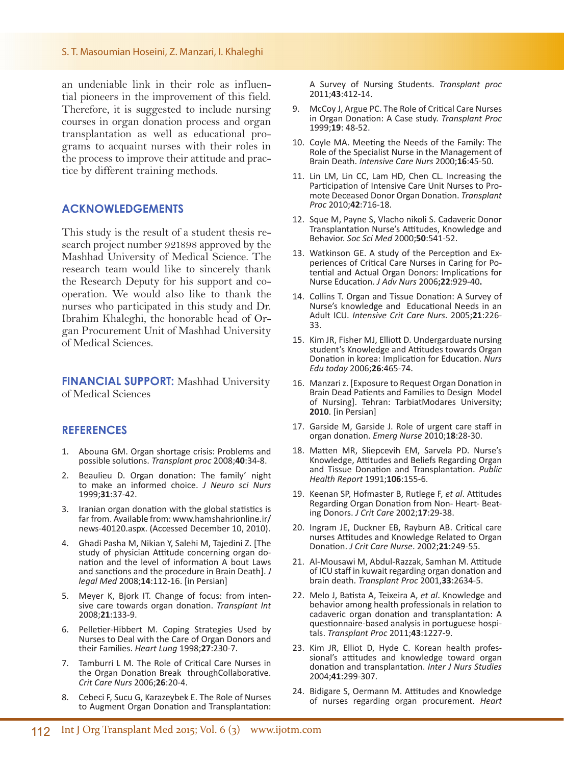an undeniable link in their role as influential pioneers in the improvement of this field. Therefore, it is suggested to include nursing courses in organ donation process and organ transplantation as well as educational programs to acquaint nurses with their roles in the process to improve their attitude and practice by different training methods.

### **ACKNOWLEDGEMENTS**

This study is the result of a student thesis research project number 921898 approved by the Mashhad University of Medical Science. The research team would like to sincerely thank the Research Deputy for his support and cooperation. We would also like to thank the nurses who participated in this study and Dr. Ibrahim Khaleghi, the honorable head of Organ Procurement Unit of Mashhad University of Medical Sciences.

**FINANCIAL SUPPORT:** Mashhad University of Medical Sciences

### **REFERENCES**

- 1. Abouna GM. Organ shortage crisis: Problems and possible solutions. *Transplant proc* 2008;**40**:34-8.
- 2. Beaulieu D. Organ donation: The family' night to make an informed choice. *J Neuro sci Nurs* 1999;**31**:37-42.
- 3. Iranian organ donation with the global statistics is far from. Available from: www.hamshahrionline.ir/ news-40120.aspx. (Accessed December 10, 2010).
- 4. Ghadi Pasha M, Nikian Y, Salehi M, Tajedini Z. [The study of physician Attitude concerning organ donation and the level of information A bout Laws and sanctions and the procedure in Brain Death]. *J legal Med* 2008;**14**:112-16. [in Persian]
- 5. Meyer K, Bjork IT. Change of focus: from inten- sive care towards organ donation. *Transplant Int*  2008;**21**:133-9.
- 6. Pelletier-Hibbert M. Coping Strategies Used by Nurses to Deal with the Care of Organ Donors and their Families. *Heart Lung* 1998;**27**:230-7.
- 7. Tamburri L M. The Role of Critical Care Nurses in the Organ Donation Break throughCollaborative. *Crit Care Nurs* 2006;**26**:20-4.
- 8. Cebeci F, Sucu G, Karazeybek E. The Role of Nurses to Augment Organ Donation and Transplantation:

A Survey of Nursing Students. *Transplant proc* 2011;**43**:412-14.

- 9. McCoy J, Argue PC. The Role of Critical Care Nurses in Organ Donation: A Case study. *Transplant Proc*  1999;**19**: 48-52.
- 10. Coyle MA. Meeting the Needs of the Family: The Role of the Specialist Nurse in the Management of Brain Death. *Intensive Care Nurs* 2000;**16**:45-50.
- 11. Lin LM, Lin CC, Lam HD, Chen CL. Increasing the<br>Participation of Intensive Care Unit Nurses to Pro-Participation of Intensive Care Unit Nurses to Pro- mote Deceased Donor Organ Donation. *Transplant Proc* 2010;**42**:716-18.
- 12. Sque M, Payne S, Vlacho nikoli S. Cadaveric Donor Transplantation Nurse's Attitudes, Knowledge and Behavior. *Soc Sci Med* 2000;**50**:541-52.
- 13. Watkinson GE. A study of the Perception and Experiences of Critical Care Nurses in Caring for Potential and Actual Organ Donors: Implications for Nurse Education. *J Adv Nurs* 2006**;22**:929-40**.**
- 14. Collins T. Organ and Tissue Donation: A Survey of Nurse's knowledge and Educational Needs in an Adult ICU. *Intensive Crit Care Nurs*. 2005;**21**:226- 33.
- 15. Kim JR, Fisher MJ, Elliott D. Undergarduate nursing student's Knowledge and Attitudes towards Organ Donation in korea: Implication for Education. *Nurs Edu today* 2006;**26**:465-74.
- 16. Manzari z. [Exposure to Request Organ Donation in Brain Dead Patients and Families to Design Model of Nursing]. Tehran: TarbiatModares University; **2010**. [in Persian]
- 17. Garside M, Garside J. Role of urgent care staff in organ donation. *Emerg Nurse* 2010;**18**:28-30.
- 18. Matten MR, Sliepcevih EM, Sarvela PD. Nurse's Knowledge, Attitudes and Beliefs Regarding Organ and Tissue Donation and Transplantation. *Public Health Report* 1991;**106**:155-6.
- 19. Keenan SP, Hofmaster B, Rutlege F, *et al*. Attitudes Regarding Organ Donation from Non- Heart- Beating Donors. *J Crit Care* 2002;**17**:29-38.
- 20. Ingram JE, Duckner EB, Rayburn AB. Critical care nurses Attitudes and Knowledge Related to Organ Donation. *J Crit Care Nurse*. 2002;**21**:249-55.
- 21. Al-Mousawi M, Abdul-Razzak, Samhan M. Attitude of ICU staff in kuwait regarding organ donation and brain death. *Transplant Proc* 2001,**33**:2634-5.
- 22. Melo J, Batista A, Teixeira A, *et al*. Knowledge and behavior among health professionals in relation to cadaveric organ donation and transplantation: A questionnaire-based analysis in portuguese hospitals. *Transplant Proc* 2011;**43**:1227-9.
- 23. Kim JR, Elliot D, Hyde C. Korean health professional's attitudes and knowledge toward organ donation and transplantation. *Inter J Nurs Studies* 2004;**41**:299-307.
- 24. Bidigare S, Oermann M. Attitudes and Knowledge of nurses regarding organ procurement. *Heart*